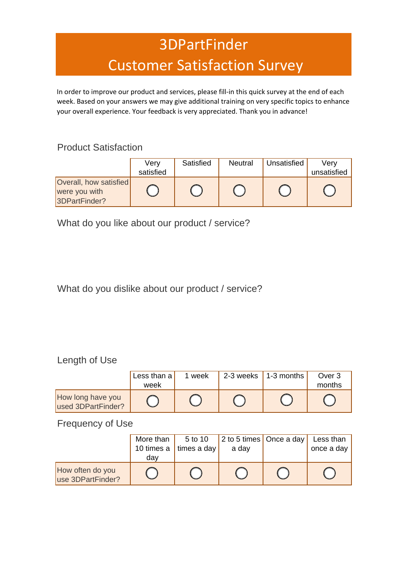# 3DPartFinder Customer Satisfaction Survey

In order to improve our product and services, please fill-in this quick survey at the end of each week. Based on your answers we may give additional training on very specific topics to enhance your overall experience. Your feedback is very appreciated. Thank you in advance!

#### Product Satisfaction

|                                                          | Verv<br>satisfied | Satisfied | <b>Neutral</b> | Unsatisfied | Verv<br>unsatisfied |
|----------------------------------------------------------|-------------------|-----------|----------------|-------------|---------------------|
|                                                          |                   |           |                |             |                     |
| Overall, how satisfied<br>were you with<br>3DPartFinder? |                   |           |                |             |                     |

What do you like about our product / service?

### What do you dislike about our product / service?

#### Length of Use

|                                         | Less than $a$ | 1 week | 2-3 weeks | $\vert$ 1-3 months | Over 3 |
|-----------------------------------------|---------------|--------|-----------|--------------------|--------|
|                                         | week          |        |           |                    | months |
| How long have you<br>used 3DPartFinder? |               |        |           |                    |        |

#### Frequency of Use

|                                       | More than  | 5 to 10     | 2 to 5 times Once a day | Less than  |
|---------------------------------------|------------|-------------|-------------------------|------------|
|                                       | 10 times a | times a day | a day                   | once a day |
|                                       | dav        |             |                         |            |
| How often do you<br>use 3DPartFinder? |            |             |                         |            |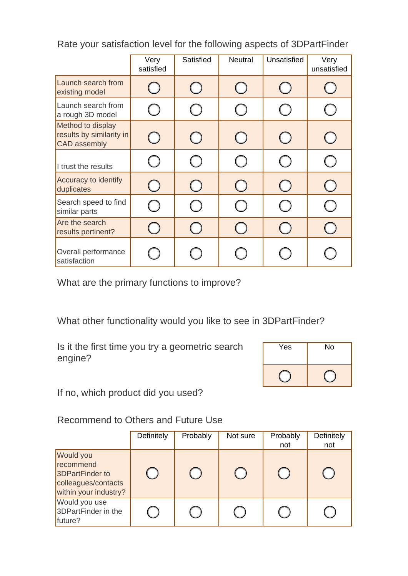|                                                                      | Very<br>satisfied | Satisfied | <b>Neutral</b> | Unsatisfied | Very<br>unsatisfied |
|----------------------------------------------------------------------|-------------------|-----------|----------------|-------------|---------------------|
| Launch search from<br>existing model                                 |                   |           |                |             |                     |
| Launch search from<br>a rough 3D model                               |                   |           |                |             |                     |
| Method to display<br>results by similarity in<br><b>CAD</b> assembly |                   |           |                |             |                     |
| I trust the results                                                  |                   |           |                |             |                     |
| Accuracy to identify<br>duplicates                                   |                   |           |                |             |                     |
| Search speed to find<br>similar parts                                |                   |           |                |             |                     |
| Are the search<br>results pertinent?                                 |                   |           |                |             |                     |
| Overall performance<br>satisfaction                                  |                   |           |                |             |                     |

Rate your satisfaction level for the following aspects of 3DPartFinder

What are the primary functions to improve?

What other functionality would you like to see in 3DPartFinder?

Is it the first time you try a geometric search engine?

| Yes | No |
|-----|----|
|     |    |

If no, which product did you used?

Recommend to Others and Future Use

|                                                                                           | Definitely | Probably | Not sure | Probably<br>not | Definitely<br>not |
|-------------------------------------------------------------------------------------------|------------|----------|----------|-----------------|-------------------|
| Would you<br>recommend<br>3DPartFinder to<br>colleagues/contacts<br>within your industry? |            |          |          |                 |                   |
| Would you use<br>3DPartFinder in the<br>future?                                           |            |          |          |                 |                   |